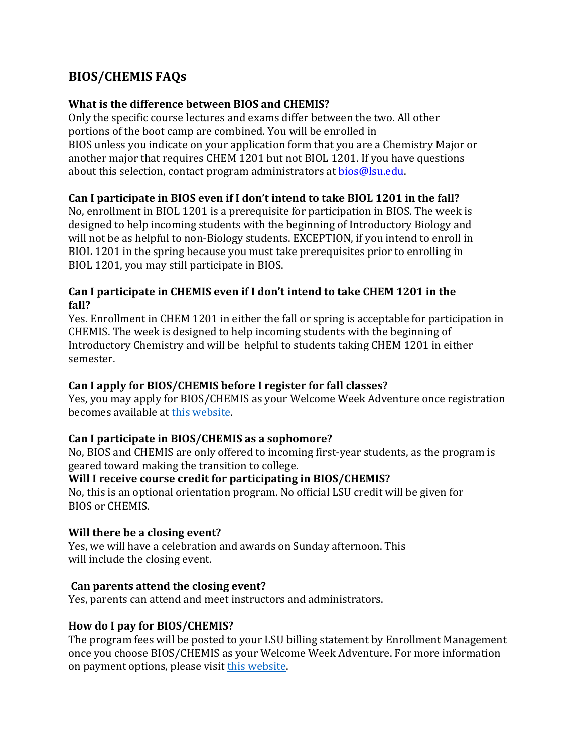# **BIOS/CHEMIS FAQs**

# **What is the difference between BIOS and CHEMIS?**

Only the specific course lectures and exams differ between the two. All other portions of the boot camp are combined. You will be enrolled in BIOS unless you indicate on your application form that you are a Chemistry Major or another major that requires CHEM 1201 but not BIOL 1201. If you have questions about this selection, contact program administrators at bios@lsu.edu.

# **Can I participate in BIOS even if I don't intend to take BIOL 1201 in the fall?**

No, enrollment in BIOL 1201 is a prerequisite for participation in BIOS. The week is designed to help incoming students with the beginning of Introductory Biology and will not be as helpful to non-Biology students. EXCEPTION, if you intend to enroll in BIOL 1201 in the spring because you must take prerequisites prior to enrolling in BIOL 1201, you may still participate in BIOS.

## **Can I participate in CHEMIS even if I don't intend to take CHEM 1201 in the fall?**

Yes. Enrollment in CHEM 1201 in either the fall or spring is acceptable for participation in CHEMIS. The week is designed to help incoming students with the beginning of Introductory Chemistry and will be helpful to students taking CHEM 1201 in either semester.

#### **Can I apply for BIOS/CHEMIS before I register for fall classes?**

Yes, you may apply for BIOS/CHEMIS as your Welcome Week Adventure once registration becomes available at [this website.](https://lsu.edu/welcomehome/)

# **Can I participate in BIOS/CHEMIS as a sophomore?**

No, BIOS and CHEMIS are only offered to incoming first-year students, as the program is geared toward making the transition to college.

#### **Will I receive course credit for participating in BIOS/CHEMIS?**

No, this is an optional orientation program. No official LSU credit will be given for BIOS or CHEMIS.

#### **Will there be a closing event?**

Yes, we will have a celebration and awards on Sunday afternoon. This will include the closing event.

#### **Can parents attend the closing event?**

Yes, parents can attend and meet instructors and administrators.

#### **How do I pay for BIOS/CHEMIS?**

The program fees will be posted to your LSU billing statement by Enrollment Management once you choose BIOS/CHEMIS as your Welcome Week Adventure. For more information on payment options, please visit [this website.](https://lsu.edu/welcomehome/)